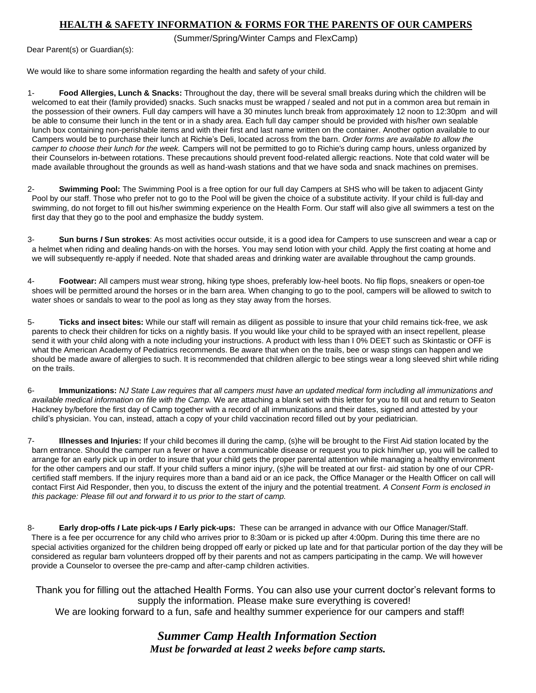## **HEALTH & SAFETY INFORMATION & FORMS FOR THE PARENTS OF OUR CAMPERS**

(Summer/Spring/Winter Camps and FlexCamp)

Dear Parent(s) or Guardian(s):

We would like to share some information regarding the health and safety of your child.

1- **Food Allergies, Lunch & Snacks:** Throughout the day, there will be several small breaks during which the children will be welcomed to eat their (family provided) snacks. Such snacks must be wrapped / sealed and not put in a common area but remain in the possession of their owners. Full day campers will have a 30 minutes lunch break from approximately 12 noon to 12:30pm and will be able to consume their lunch in the tent or in a shady area. Each full day camper should be provided with his/her own sealable lunch box containing non-perishable items and with their first and last name written on the container. Another option available to our Campers would be to purchase their lunch at Richie's Deli, located across from the barn. *Order forms are available to allow the camper to choose their lunch for the week.* Campers will not be permitted to go to Richie's during camp hours, unless organized by their Counselors in-between rotations. These precautions should prevent food-related allergic reactions. Note that cold water will be made available throughout the grounds as well as hand-wash stations and that we have soda and snack machines on premises.

2- **Swimming Pool:** The Swimming Pool is a free option for our full day Campers at SHS who will be taken to adjacent Ginty Pool by our staff. Those who prefer not to go to the Pool will be given the choice of a substitute activity. If your child is full-day and swimming, do not forget to fill out his/her swimming experience on the Health Form. Our staff will also give all swimmers a test on the first day that they go to the pool and emphasize the buddy system.

3- **Sun burns** *I* **Sun strokes**: As most activities occur outside, it is a good idea for Campers to use sunscreen and wear a cap or a helmet when riding and dealing hands-on with the horses. You may send lotion with your child. Apply the first coating at home and we will subsequently re-apply if needed. Note that shaded areas and drinking water are available throughout the camp grounds.

4- **Footwear:** All campers must wear strong, hiking type shoes, preferably low-heel boots. No flip flops, sneakers or open-toe shoes will be permitted around the horses or in the barn area. When changing to go to the pool, campers will be allowed to switch to water shoes or sandals to wear to the pool as long as they stay away from the horses.

5- **Ticks and insect bites:** While our staff will remain as diligent as possible to insure that your child remains tick-free, we ask parents to check their children for ticks on a nightly basis. If you would like your child to be sprayed with an insect repellent, please send it with your child along with a note including your instructions. A product with less than I 0% DEET such as Skintastic or OFF is what the American Academy of Pediatrics recommends. Be aware that when on the trails, bee or wasp stings can happen and we should be made aware of allergies to such. It is recommended that children allergic to bee stings wear a long sleeved shirt while riding on the trails.

6- **Immunizations:** *NJ State Law requires that all campers must have an updated medical form including all immunizations and available medical information on file with the Camp.* We are attaching a blank set with this letter for you to fill out and return to Seaton Hackney by/before the first day of Camp together with a record of all immunizations and their dates, signed and attested by your child's physician. You can, instead, attach a copy of your child vaccination record filled out by your pediatrician.

7- **Illnesses and Injuries:** If your child becomes ill during the camp, (s)he will be brought to the First Aid station located by the barn entrance. Should the camper run a fever or have a communicable disease or request you to pick him/her up, you will be called to arrange for an early pick up in order to insure that your child gets the proper parental attention while managing a healthy environment for the other campers and our staff. If your child suffers a minor injury, (s)he will be treated at our first- aid station by one of our CPRcertified staff members. If the injury requires more than a band aid or an ice pack, the Office Manager or the Health Officer on call will contact First Aid Responder, then you, to discuss the extent of the injury and the potential treatment. *A Consent Form is enclosed in this package: Please fill out and forward it to us prior to the start of camp.* 

8- **Early drop-offs** *I* **Late pick-ups** *I* **Early pick-ups:** These can be arranged in advance with our Office Manager/Staff. There is a fee per occurrence for any child who arrives prior to 8:30am or is picked up after 4:00pm. During this time there are no special activities organized for the children being dropped off early or picked up late and for that particular portion of the day they will be considered as regular barn volunteers dropped off by their parents and not as campers participating in the camp. We will however provide a Counselor to oversee the pre-camp and after-camp children activities.

Thank you for filling out the attached Health Forms. You can also use your current doctor's relevant forms to supply the information. Please make sure everything is covered! We are looking forward to a fun, safe and healthy summer experience for our campers and staff!

> *Summer Camp Health Information Section Must be forwarded at least 2 weeks before camp starts.*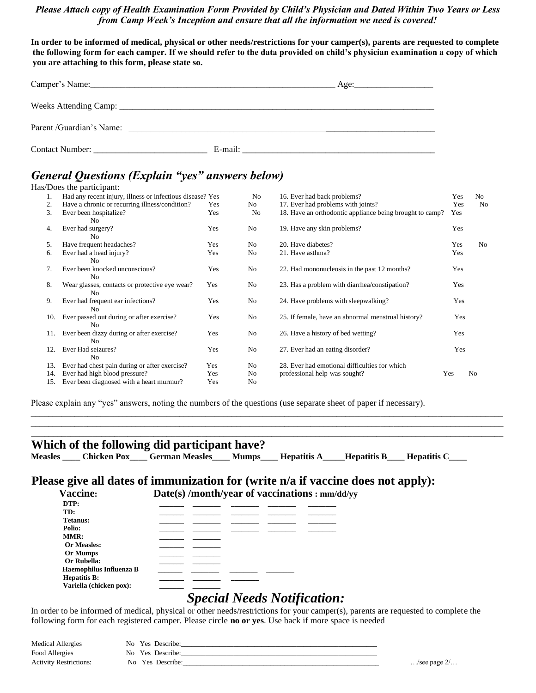#### *Please Attach copy of Health Examination Form Provided by Child's Physician and Dated Within Two Years or Less from Camp Week's Inception and ensure that all the information we need is covered!*

**In order to be informed of medical, physical or other needs/restrictions for your camper(s), parents are requested to complete the following form for each camper. If we should refer to the data provided on child's physician examination a copy of which you are attaching to this form, please state so.** 

|                         |         | Age: |  |
|-------------------------|---------|------|--|
|                         |         |      |  |
| Parent/Guardian's Name: |         |      |  |
| Contact Number:         | E-mail: |      |  |

# *General Questions (Explain "yes" answers below)*

|     | Has/Does the participant:                                        |                               |    |                                                          |     |     |
|-----|------------------------------------------------------------------|-------------------------------|----|----------------------------------------------------------|-----|-----|
|     | Had any recent injury, illness or infectious disease? Yes        |                               | No | 16. Ever had back problems?                              | Yes | No. |
| 2.  | Have a chronic or recurring illness/condition?                   |                               | No | 17. Ever had problems with joints?                       | Yes | No  |
| 3.  | Ever been hospitalize?<br>No.                                    | Yes                           | No | 18. Have an orthodontic appliance being brought to camp? | Yes |     |
| 4.  | Ever had surgery?<br>N <sub>0</sub>                              | Yes                           | No | 19. Have any skin problems?                              | Yes |     |
| 5.  | Have frequent headaches?                                         | Yes                           | No | 20. Have diabetes?                                       | Yes | No  |
| 6.  | Ever had a head injury?<br>N <sub>0</sub>                        | 21. Have asthma?<br>No<br>Yes |    |                                                          | Yes |     |
| 7.  | Ever been knocked unconscious?<br>N <sub>0</sub>                 | Yes                           | No | 22. Had mononucleosis in the past 12 months?             | Yes |     |
| 8.  | Wear glasses, contacts or protective eye wear?<br>N <sub>0</sub> | Yes                           | No | 23. Has a problem with diarrhea/constipation?            | Yes |     |
| 9.  | Ever had frequent ear infections?<br>N <sub>0</sub>              | Yes                           | No | 24. Have problems with sleepwalking?                     | Yes |     |
| 10. | Ever passed out during or after exercise?<br>N <sub>0</sub>      | Yes                           | No | 25. If female, have an abnormal menstrual history?       | Yes |     |
| 11. | Ever been dizzy during or after exercise?<br>N <sub>0</sub>      | Yes                           | No | 26. Have a history of bed wetting?                       | Yes |     |
| 12. | Ever Had seizures?<br>N <sub>0</sub>                             | Yes                           | No | 27. Ever had an eating disorder?                         | Yes |     |
| 13. | Ever had chest pain during or after exercise?                    | Yes                           | No | 28. Ever had emotional difficulties for which            |     |     |
| 14. | Ever had high blood pressure?                                    | Yes                           | No | professional help was sought?                            | Yes | No  |
| 15. | Ever been diagnosed with a heart murmur?                         | Yes                           | No |                                                          |     |     |

\_\_\_\_\_\_\_\_\_\_\_\_\_\_\_\_\_\_\_\_\_\_\_\_\_\_\_\_\_\_\_\_\_\_\_\_\_\_\_\_\_\_\_\_\_\_\_\_\_\_\_\_\_\_\_\_\_\_\_\_\_\_\_\_\_\_\_\_\_\_\_\_\_\_\_\_\_\_\_\_\_\_\_\_\_\_\_\_\_\_\_\_\_\_\_\_\_\_\_\_\_\_\_\_\_\_\_\_ \_\_\_\_\_\_\_\_\_\_\_\_\_\_\_\_\_\_\_\_\_\_\_\_\_\_\_\_\_\_\_\_\_\_\_\_\_\_\_\_\_\_\_\_\_\_\_\_\_\_\_\_\_\_\_\_\_\_\_\_\_\_\_\_\_\_\_\_\_\_\_\_\_\_\_\_\_\_\_\_\_\_\_\_\_\_\_\_\_\_\_\_\_\_\_\_\_\_\_\_\_\_\_\_\_\_\_\_ \_\_\_\_\_\_\_\_\_\_\_\_\_\_\_\_\_\_\_\_\_\_\_\_\_\_\_\_\_\_\_\_\_\_\_\_\_\_\_\_\_\_\_\_\_\_\_\_\_\_\_\_\_\_\_\_\_\_\_\_\_\_\_\_\_\_\_\_\_\_\_\_\_\_\_\_\_\_\_\_\_\_\_\_\_\_\_\_\_\_\_\_\_\_\_\_\_\_\_\_\_\_\_\_\_\_\_\_

Please explain any "yes" answers, noting the numbers of the questions (use separate sheet of paper if necessary).

#### **Which of the following did participant have?**

**Measles \_\_\_\_ Chicken Pox\_\_\_\_ German Measles\_\_\_\_ Mumps\_\_\_\_ Hepatitis A\_\_\_\_\_Hepatitis B\_\_\_\_ Hepatitis C\_\_\_\_** 

## **Please give all dates of immunization for (write n/a if vaccine does not apply): Vaccine: Date(s) /month/year of vaccinations : mm/dd/yy**

| DTP:                    |  |  |  |
|-------------------------|--|--|--|
| TD:                     |  |  |  |
| <b>Tetanus:</b>         |  |  |  |
| Polio:                  |  |  |  |
| MMR:                    |  |  |  |
| <b>Or Measles:</b>      |  |  |  |
| Or Mumps                |  |  |  |
| Or Rubella:             |  |  |  |
| Haemophilus Influenza B |  |  |  |
| <b>Hepatitis B:</b>     |  |  |  |
| Variella (chicken pox): |  |  |  |

# *Special Needs Notification:*

In order to be informed of medical, physical or other needs/restrictions for your camper(s), parents are requested to complete the following form for each registered camper. Please circle **no or yes**. Use back if more space is needed

| <b>Medical Allergies</b>      | No Yes Describe: |                               |
|-------------------------------|------------------|-------------------------------|
| Food Allergies                | No Yes Describe: |                               |
| <b>Activity Restrictions:</b> | No Yes Describe: | $\ldots$ /see page $2/\ldots$ |